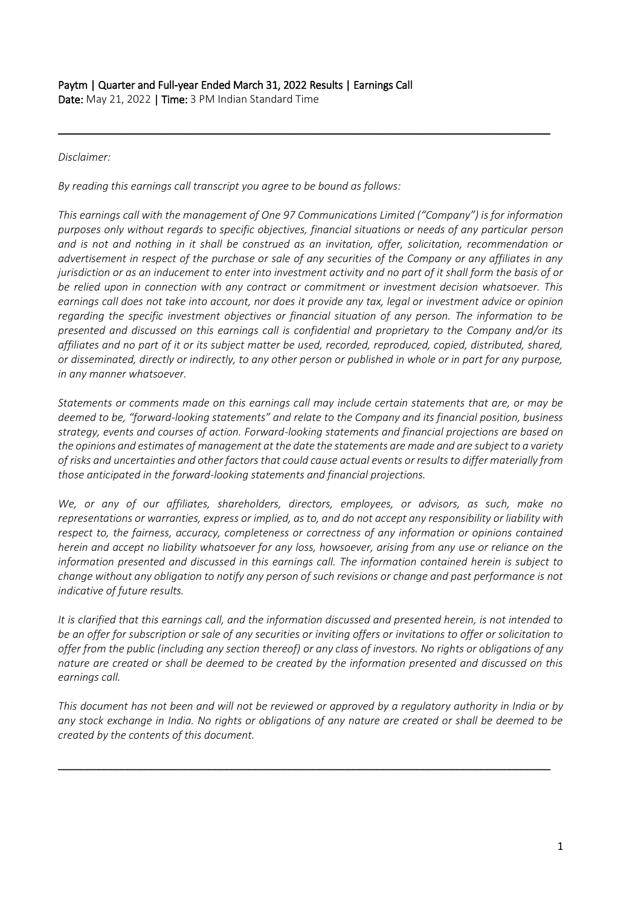# Paytm | Quarter and Full-year Ended March 31, 2022 Results | Earnings Call

Date: May 21, 2022 | Time: 3 PM Indian Standard Time

## *Disclaimer:*

*By reading this earnings call transcript you agree to be bound as follows:*

*This earnings call with the management of One 97 Communications Limited ("Company") is for information purposes only without regards to specific objectives, financial situations or needs of any particular person and is not and nothing in it shall be construed as an invitation, offer, solicitation, recommendation or advertisement in respect of the purchase or sale of any securities of the Company or any affiliates in any jurisdiction or as an inducement to enter into investment activity and no part of it shall form the basis of or be relied upon in connection with any contract or commitment or investment decision whatsoever. This earnings call does not take into account, nor does it provide any tax, legal or investment advice or opinion regarding the specific investment objectives or financial situation of any person. The information to be presented and discussed on this earnings call is confidential and proprietary to the Company and/or its affiliates and no part of it or its subject matter be used, recorded, reproduced, copied, distributed, shared, or disseminated, directly or indirectly, to any other person or published in whole or in part for any purpose, in any manner whatsoever.* 

\_\_\_\_\_\_\_\_\_\_\_\_\_\_\_\_\_\_\_\_\_\_\_\_\_\_\_\_\_\_\_\_\_\_\_\_\_\_\_\_\_\_\_\_\_\_\_\_\_\_\_\_\_\_\_\_\_\_\_\_\_\_\_\_\_\_\_\_\_\_\_\_\_\_\_\_\_\_\_\_\_\_\_\_\_

*Statements or comments made on this earnings call may include certain statements that are, or may be deemed to be, "forward-looking statements" and relate to the Company and its financial position, business strategy, events and courses of action. Forward-looking statements and financial projections are based on the opinions and estimates of management at the date the statements are made and are subject to a variety of risks and uncertainties and other factors that could cause actual events or results to differ materially from those anticipated in the forward-looking statements and financial projections.*

*We, or any of our affiliates, shareholders, directors, employees, or advisors, as such, make no representations or warranties, express or implied, as to, and do not accept any responsibility or liability with respect to, the fairness, accuracy, completeness or correctness of any information or opinions contained herein and accept no liability whatsoever for any loss, howsoever, arising from any use or reliance on the information presented and discussed in this earnings call. The information contained herein is subject to change without any obligation to notify any person of such revisions or change and past performance is not indicative of future results.*

*It is clarified that this earnings call, and the information discussed and presented herein, is not intended to be an offer for subscription or sale of any securities or inviting offers or invitations to offer or solicitation to offer from the public (including any section thereof) or any class of investors. No rights or obligations of any nature are created or shall be deemed to be created by the information presented and discussed on this earnings call.*

*This document has not been and will not be reviewed or approved by a regulatory authority in India or by any stock exchange in India. No rights or obligations of any nature are created or shall be deemed to be created by the contents of this document.* 

\_\_\_\_\_\_\_\_\_\_\_\_\_\_\_\_\_\_\_\_\_\_\_\_\_\_\_\_\_\_\_\_\_\_\_\_\_\_\_\_\_\_\_\_\_\_\_\_\_\_\_\_\_\_\_\_\_\_\_\_\_\_\_\_\_\_\_\_\_\_\_\_\_\_\_\_\_\_\_\_\_\_\_\_\_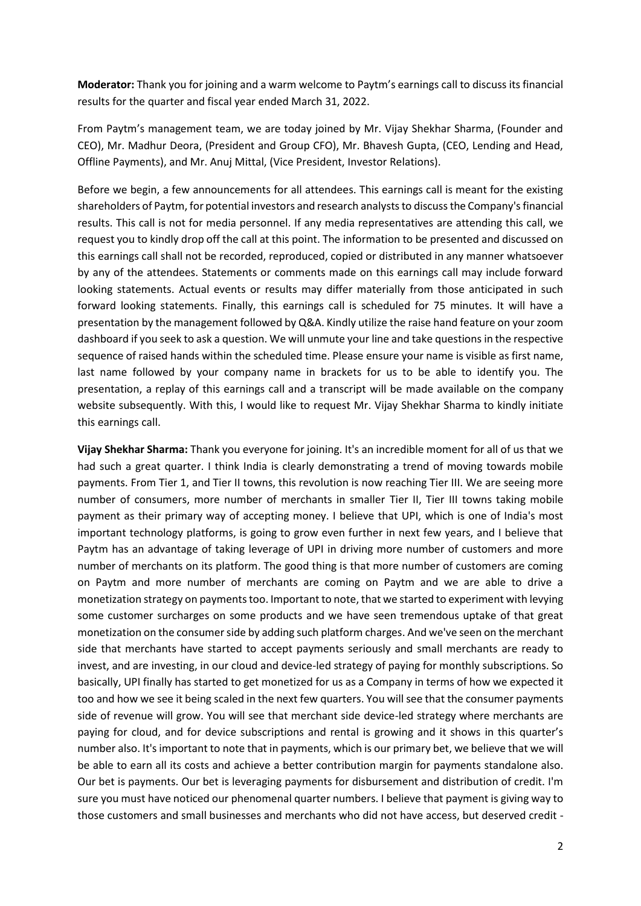**Moderator:** Thank you for joining and a warm welcome to Paytm's earnings call to discuss its financial results for the quarter and fiscal year ended March 31, 2022.

From Paytm's management team, we are today joined by Mr. Vijay Shekhar Sharma, (Founder and CEO), Mr. Madhur Deora, (President and Group CFO), Mr. Bhavesh Gupta, (CEO, Lending and Head, Offline Payments), and Mr. Anuj Mittal, (Vice President, Investor Relations).

Before we begin, a few announcements for all attendees. This earnings call is meant for the existing shareholders of Paytm, for potential investors and research analysts to discuss the Company's financial results. This call is not for media personnel. If any media representatives are attending this call, we request you to kindly drop off the call at this point. The information to be presented and discussed on this earnings call shall not be recorded, reproduced, copied or distributed in any manner whatsoever by any of the attendees. Statements or comments made on this earnings call may include forward looking statements. Actual events or results may differ materially from those anticipated in such forward looking statements. Finally, this earnings call is scheduled for 75 minutes. It will have a presentation by the management followed by Q&A. Kindly utilize the raise hand feature on your zoom dashboard if you seek to ask a question. We will unmute your line and take questions in the respective sequence of raised hands within the scheduled time. Please ensure your name is visible as first name, last name followed by your company name in brackets for us to be able to identify you. The presentation, a replay of this earnings call and a transcript will be made available on the company website subsequently. With this, I would like to request Mr. Vijay Shekhar Sharma to kindly initiate this earnings call.

**Vijay Shekhar Sharma:** Thank you everyone for joining. It's an incredible moment for all of us that we had such a great quarter. I think India is clearly demonstrating a trend of moving towards mobile payments. From Tier 1, and Tier II towns, this revolution is now reaching Tier III. We are seeing more number of consumers, more number of merchants in smaller Tier II, Tier III towns taking mobile payment as their primary way of accepting money. I believe that UPI, which is one of India's most important technology platforms, is going to grow even further in next few years, and I believe that Paytm has an advantage of taking leverage of UPI in driving more number of customers and more number of merchants on its platform. The good thing is that more number of customers are coming on Paytm and more number of merchants are coming on Paytm and we are able to drive a monetization strategy on payments too. Important to note, that we started to experiment with levying some customer surcharges on some products and we have seen tremendous uptake of that great monetization on the consumer side by adding such platform charges. And we've seen on the merchant side that merchants have started to accept payments seriously and small merchants are ready to invest, and are investing, in our cloud and device-led strategy of paying for monthly subscriptions. So basically, UPI finally has started to get monetized for us as a Company in terms of how we expected it too and how we see it being scaled in the next few quarters. You will see that the consumer payments side of revenue will grow. You will see that merchant side device-led strategy where merchants are paying for cloud, and for device subscriptions and rental is growing and it shows in this quarter's number also. It's important to note that in payments, which is our primary bet, we believe that we will be able to earn all its costs and achieve a better contribution margin for payments standalone also. Our bet is payments. Our bet is leveraging payments for disbursement and distribution of credit. I'm sure you must have noticed our phenomenal quarter numbers. I believe that payment is giving way to those customers and small businesses and merchants who did not have access, but deserved credit -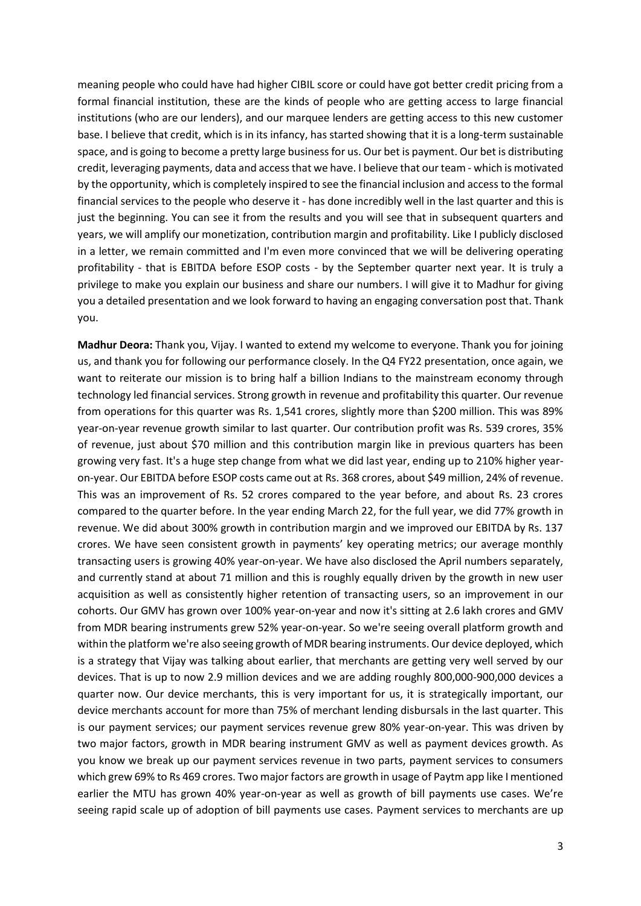meaning people who could have had higher CIBIL score or could have got better credit pricing from a formal financial institution, these are the kinds of people who are getting access to large financial institutions (who are our lenders), and our marquee lenders are getting access to this new customer base. I believe that credit, which is in its infancy, has started showing that it is a long-term sustainable space, and is going to become a pretty large business for us. Our bet is payment. Our bet is distributing credit, leveraging payments, data and access that we have. I believe that our team - which is motivated by the opportunity, which is completely inspired to see the financial inclusion and access to the formal financial services to the people who deserve it - has done incredibly well in the last quarter and this is just the beginning. You can see it from the results and you will see that in subsequent quarters and years, we will amplify our monetization, contribution margin and profitability. Like I publicly disclosed in a letter, we remain committed and I'm even more convinced that we will be delivering operating profitability - that is EBITDA before ESOP costs - by the September quarter next year. It is truly a privilege to make you explain our business and share our numbers. I will give it to Madhur for giving you a detailed presentation and we look forward to having an engaging conversation post that. Thank you.

**Madhur Deora:** Thank you, Vijay. I wanted to extend my welcome to everyone. Thank you for joining us, and thank you for following our performance closely. In the Q4 FY22 presentation, once again, we want to reiterate our mission is to bring half a billion Indians to the mainstream economy through technology led financial services. Strong growth in revenue and profitability this quarter. Our revenue from operations for this quarter was Rs. 1,541 crores, slightly more than \$200 million. This was 89% year-on-year revenue growth similar to last quarter. Our contribution profit was Rs. 539 crores, 35% of revenue, just about \$70 million and this contribution margin like in previous quarters has been growing very fast. It's a huge step change from what we did last year, ending up to 210% higher yearon-year. Our EBITDA before ESOP costs came out at Rs. 368 crores, about \$49 million, 24% of revenue. This was an improvement of Rs. 52 crores compared to the year before, and about Rs. 23 crores compared to the quarter before. In the year ending March 22, for the full year, we did 77% growth in revenue. We did about 300% growth in contribution margin and we improved our EBITDA by Rs. 137 crores. We have seen consistent growth in payments' key operating metrics; our average monthly transacting users is growing 40% year-on-year. We have also disclosed the April numbers separately, and currently stand at about 71 million and this is roughly equally driven by the growth in new user acquisition as well as consistently higher retention of transacting users, so an improvement in our cohorts. Our GMV has grown over 100% year-on-year and now it's sitting at 2.6 lakh crores and GMV from MDR bearing instruments grew 52% year-on-year. So we're seeing overall platform growth and within the platform we're also seeing growth of MDR bearing instruments. Our device deployed, which is a strategy that Vijay was talking about earlier, that merchants are getting very well served by our devices. That is up to now 2.9 million devices and we are adding roughly 800,000-900,000 devices a quarter now. Our device merchants, this is very important for us, it is strategically important, our device merchants account for more than 75% of merchant lending disbursals in the last quarter. This is our payment services; our payment services revenue grew 80% year-on-year. This was driven by two major factors, growth in MDR bearing instrument GMV as well as payment devices growth. As you know we break up our payment services revenue in two parts, payment services to consumers which grew 69% to Rs 469 crores. Two major factors are growth in usage of Paytm app like I mentioned earlier the MTU has grown 40% year-on-year as well as growth of bill payments use cases. We're seeing rapid scale up of adoption of bill payments use cases. Payment services to merchants are up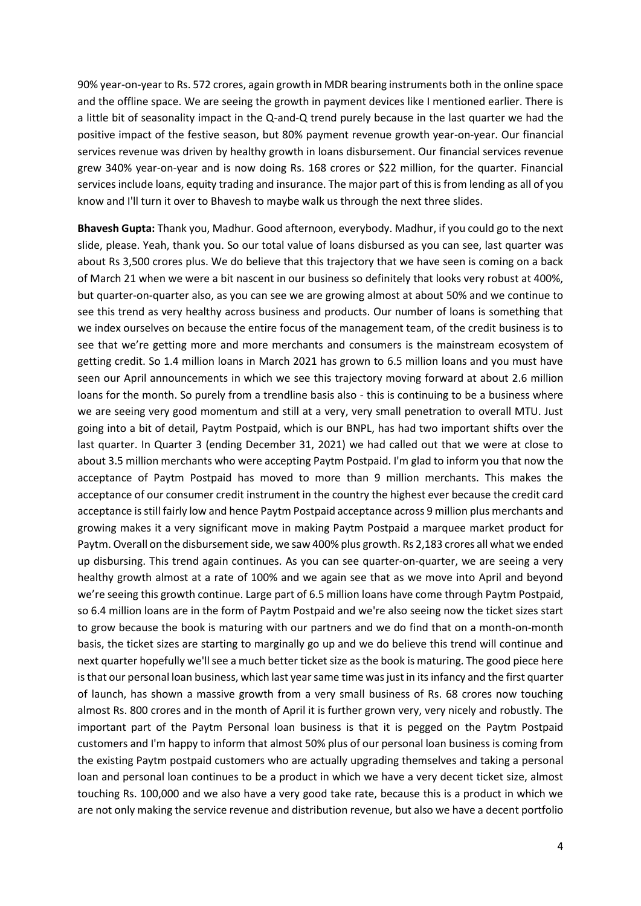90% year-on-year to Rs. 572 crores, again growth in MDR bearing instruments both in the online space and the offline space. We are seeing the growth in payment devices like I mentioned earlier. There is a little bit of seasonality impact in the Q-and-Q trend purely because in the last quarter we had the positive impact of the festive season, but 80% payment revenue growth year-on-year. Our financial services revenue was driven by healthy growth in loans disbursement. Our financial services revenue grew 340% year-on-year and is now doing Rs. 168 crores or \$22 million, for the quarter. Financial services include loans, equity trading and insurance. The major part of this is from lending as all of you know and I'll turn it over to Bhavesh to maybe walk us through the next three slides.

**Bhavesh Gupta:** Thank you, Madhur. Good afternoon, everybody. Madhur, if you could go to the next slide, please. Yeah, thank you. So our total value of loans disbursed as you can see, last quarter was about Rs 3,500 crores plus. We do believe that this trajectory that we have seen is coming on a back of March 21 when we were a bit nascent in our business so definitely that looks very robust at 400%, but quarter-on-quarter also, as you can see we are growing almost at about 50% and we continue to see this trend as very healthy across business and products. Our number of loans is something that we index ourselves on because the entire focus of the management team, of the credit business is to see that we're getting more and more merchants and consumers is the mainstream ecosystem of getting credit. So 1.4 million loans in March 2021 has grown to 6.5 million loans and you must have seen our April announcements in which we see this trajectory moving forward at about 2.6 million loans for the month. So purely from a trendline basis also - this is continuing to be a business where we are seeing very good momentum and still at a very, very small penetration to overall MTU. Just going into a bit of detail, Paytm Postpaid, which is our BNPL, has had two important shifts over the last quarter. In Quarter 3 (ending December 31, 2021) we had called out that we were at close to about 3.5 million merchants who were accepting Paytm Postpaid. I'm glad to inform you that now the acceptance of Paytm Postpaid has moved to more than 9 million merchants. This makes the acceptance of our consumer credit instrument in the country the highest ever because the credit card acceptance is still fairly low and hence Paytm Postpaid acceptance across 9 million plus merchants and growing makes it a very significant move in making Paytm Postpaid a marquee market product for Paytm. Overall on the disbursement side, we saw 400% plus growth. Rs 2,183 crores all what we ended up disbursing. This trend again continues. As you can see quarter-on-quarter, we are seeing a very healthy growth almost at a rate of 100% and we again see that as we move into April and beyond we're seeing this growth continue. Large part of 6.5 million loans have come through Paytm Postpaid, so 6.4 million loans are in the form of Paytm Postpaid and we're also seeing now the ticket sizes start to grow because the book is maturing with our partners and we do find that on a month-on-month basis, the ticket sizes are starting to marginally go up and we do believe this trend will continue and next quarter hopefully we'll see a much better ticket size as the book is maturing. The good piece here is that our personal loan business, which last year same time was just in its infancy and the first quarter of launch, has shown a massive growth from a very small business of Rs. 68 crores now touching almost Rs. 800 crores and in the month of April it is further grown very, very nicely and robustly. The important part of the Paytm Personal loan business is that it is pegged on the Paytm Postpaid customers and I'm happy to inform that almost 50% plus of our personal loan business is coming from the existing Paytm postpaid customers who are actually upgrading themselves and taking a personal loan and personal loan continues to be a product in which we have a very decent ticket size, almost touching Rs. 100,000 and we also have a very good take rate, because this is a product in which we are not only making the service revenue and distribution revenue, but also we have a decent portfolio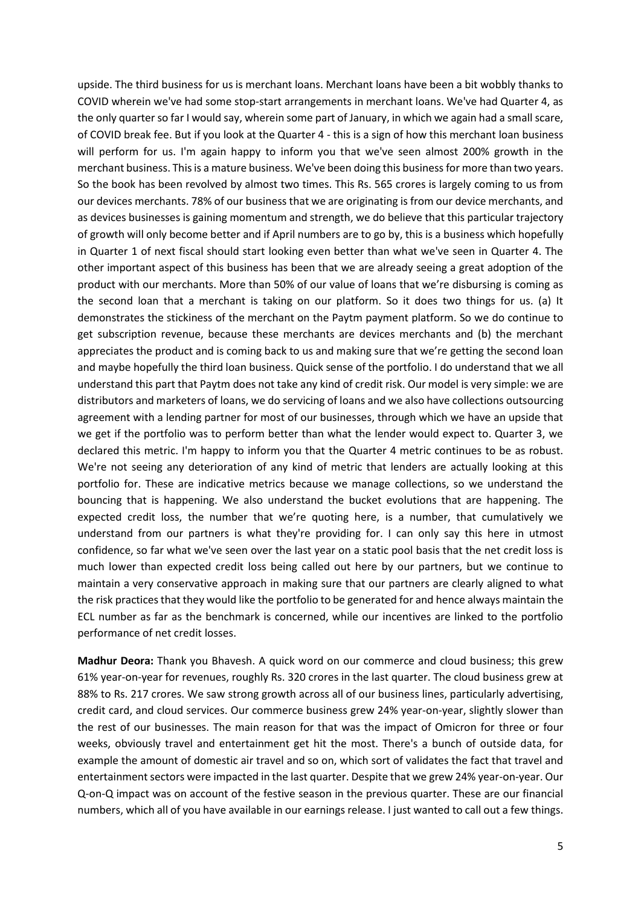upside. The third business for us is merchant loans. Merchant loans have been a bit wobbly thanks to COVID wherein we've had some stop-start arrangements in merchant loans. We've had Quarter 4, as the only quarter so far I would say, wherein some part of January, in which we again had a small scare, of COVID break fee. But if you look at the Quarter 4 - this is a sign of how this merchant loan business will perform for us. I'm again happy to inform you that we've seen almost 200% growth in the merchant business. This is a mature business. We've been doing this business for more than two years. So the book has been revolved by almost two times. This Rs. 565 crores is largely coming to us from our devices merchants. 78% of our business that we are originating is from our device merchants, and as devices businesses is gaining momentum and strength, we do believe that this particular trajectory of growth will only become better and if April numbers are to go by, this is a business which hopefully in Quarter 1 of next fiscal should start looking even better than what we've seen in Quarter 4. The other important aspect of this business has been that we are already seeing a great adoption of the product with our merchants. More than 50% of our value of loans that we're disbursing is coming as the second loan that a merchant is taking on our platform. So it does two things for us. (a) It demonstrates the stickiness of the merchant on the Paytm payment platform. So we do continue to get subscription revenue, because these merchants are devices merchants and (b) the merchant appreciates the product and is coming back to us and making sure that we're getting the second loan and maybe hopefully the third loan business. Quick sense of the portfolio. I do understand that we all understand this part that Paytm does not take any kind of credit risk. Our model is very simple: we are distributors and marketers of loans, we do servicing of loans and we also have collections outsourcing agreement with a lending partner for most of our businesses, through which we have an upside that we get if the portfolio was to perform better than what the lender would expect to. Quarter 3, we declared this metric. I'm happy to inform you that the Quarter 4 metric continues to be as robust. We're not seeing any deterioration of any kind of metric that lenders are actually looking at this portfolio for. These are indicative metrics because we manage collections, so we understand the bouncing that is happening. We also understand the bucket evolutions that are happening. The expected credit loss, the number that we're quoting here, is a number, that cumulatively we understand from our partners is what they're providing for. I can only say this here in utmost confidence, so far what we've seen over the last year on a static pool basis that the net credit loss is much lower than expected credit loss being called out here by our partners, but we continue to maintain a very conservative approach in making sure that our partners are clearly aligned to what the risk practices that they would like the portfolio to be generated for and hence always maintain the ECL number as far as the benchmark is concerned, while our incentives are linked to the portfolio performance of net credit losses.

**Madhur Deora:** Thank you Bhavesh. A quick word on our commerce and cloud business; this grew 61% year-on-year for revenues, roughly Rs. 320 crores in the last quarter. The cloud business grew at 88% to Rs. 217 crores. We saw strong growth across all of our business lines, particularly advertising, credit card, and cloud services. Our commerce business grew 24% year-on-year, slightly slower than the rest of our businesses. The main reason for that was the impact of Omicron for three or four weeks, obviously travel and entertainment get hit the most. There's a bunch of outside data, for example the amount of domestic air travel and so on, which sort of validates the fact that travel and entertainment sectors were impacted in the last quarter. Despite that we grew 24% year-on-year. Our Q-on-Q impact was on account of the festive season in the previous quarter. These are our financial numbers, which all of you have available in our earnings release. I just wanted to call out a few things.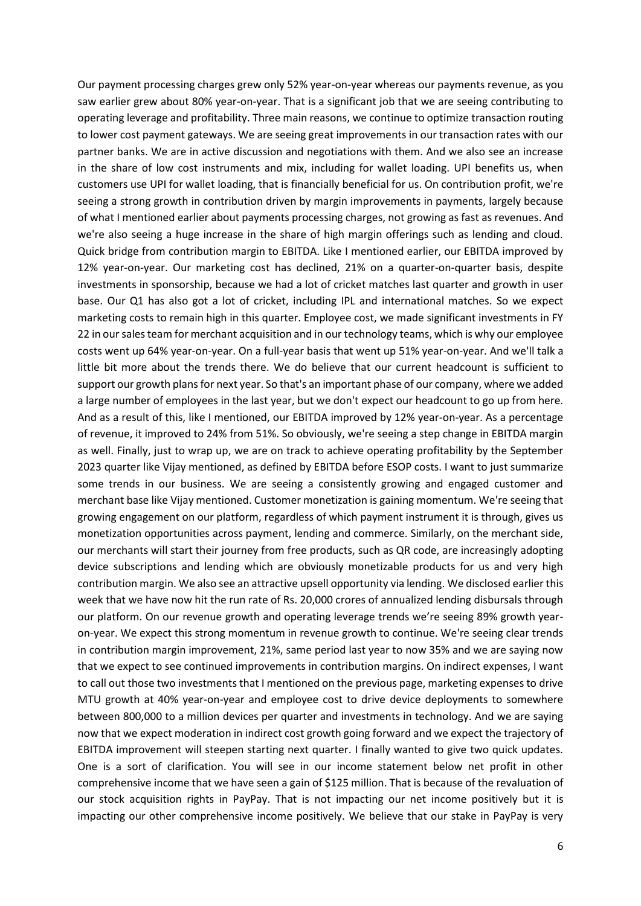Our payment processing charges grew only 52% year-on-year whereas our payments revenue, as you saw earlier grew about 80% year-on-year. That is a significant job that we are seeing contributing to operating leverage and profitability. Three main reasons, we continue to optimize transaction routing to lower cost payment gateways. We are seeing great improvements in our transaction rates with our partner banks. We are in active discussion and negotiations with them. And we also see an increase in the share of low cost instruments and mix, including for wallet loading. UPI benefits us, when customers use UPI for wallet loading, that is financially beneficial for us. On contribution profit, we're seeing a strong growth in contribution driven by margin improvements in payments, largely because of what I mentioned earlier about payments processing charges, not growing as fast as revenues. And we're also seeing a huge increase in the share of high margin offerings such as lending and cloud. Quick bridge from contribution margin to EBITDA. Like I mentioned earlier, our EBITDA improved by 12% year-on-year. Our marketing cost has declined, 21% on a quarter-on-quarter basis, despite investments in sponsorship, because we had a lot of cricket matches last quarter and growth in user base. Our Q1 has also got a lot of cricket, including IPL and international matches. So we expect marketing costs to remain high in this quarter. Employee cost, we made significant investments in FY 22 in our sales team for merchant acquisition and in our technology teams, which is why our employee costs went up 64% year-on-year. On a full-year basis that went up 51% year-on-year. And we'll talk a little bit more about the trends there. We do believe that our current headcount is sufficient to support our growth plans for next year. So that's an important phase of our company, where we added a large number of employees in the last year, but we don't expect our headcount to go up from here. And as a result of this, like I mentioned, our EBITDA improved by 12% year-on-year. As a percentage of revenue, it improved to 24% from 51%. So obviously, we're seeing a step change in EBITDA margin as well. Finally, just to wrap up, we are on track to achieve operating profitability by the September 2023 quarter like Vijay mentioned, as defined by EBITDA before ESOP costs. I want to just summarize some trends in our business. We are seeing a consistently growing and engaged customer and merchant base like Vijay mentioned. Customer monetization is gaining momentum. We're seeing that growing engagement on our platform, regardless of which payment instrument it is through, gives us monetization opportunities across payment, lending and commerce. Similarly, on the merchant side, our merchants will start their journey from free products, such as QR code, are increasingly adopting device subscriptions and lending which are obviously monetizable products for us and very high contribution margin. We also see an attractive upsell opportunity via lending. We disclosed earlier this week that we have now hit the run rate of Rs. 20,000 crores of annualized lending disbursals through our platform. On our revenue growth and operating leverage trends we're seeing 89% growth yearon-year. We expect this strong momentum in revenue growth to continue. We're seeing clear trends in contribution margin improvement, 21%, same period last year to now 35% and we are saying now that we expect to see continued improvements in contribution margins. On indirect expenses, I want to call out those two investments that I mentioned on the previous page, marketing expenses to drive MTU growth at 40% year-on-year and employee cost to drive device deployments to somewhere between 800,000 to a million devices per quarter and investments in technology. And we are saying now that we expect moderation in indirect cost growth going forward and we expect the trajectory of EBITDA improvement will steepen starting next quarter. I finally wanted to give two quick updates. One is a sort of clarification. You will see in our income statement below net profit in other comprehensive income that we have seen a gain of \$125 million. That is because of the revaluation of our stock acquisition rights in PayPay. That is not impacting our net income positively but it is impacting our other comprehensive income positively. We believe that our stake in PayPay is very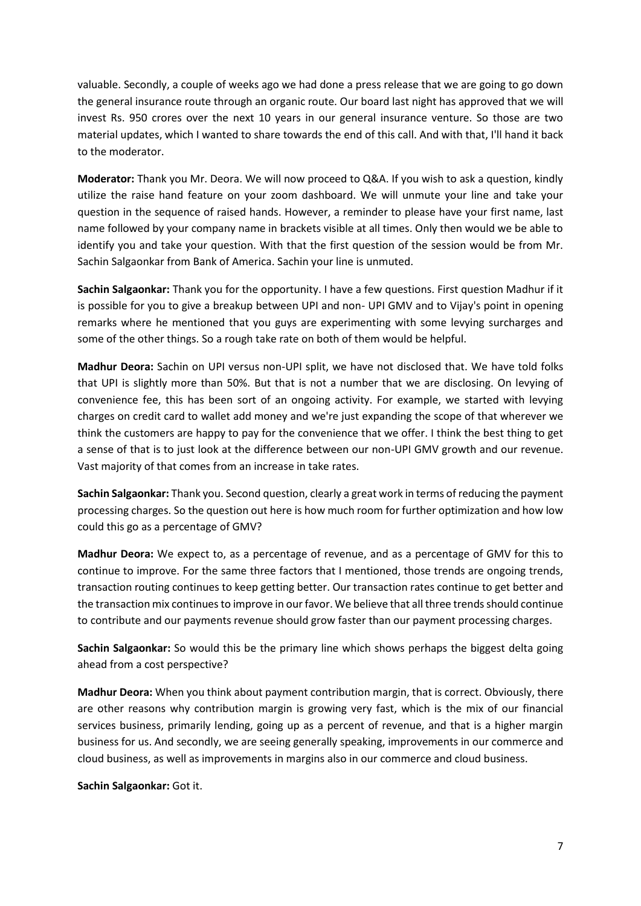valuable. Secondly, a couple of weeks ago we had done a press release that we are going to go down the general insurance route through an organic route. Our board last night has approved that we will invest Rs. 950 crores over the next 10 years in our general insurance venture. So those are two material updates, which I wanted to share towards the end of this call. And with that, I'll hand it back to the moderator.

**Moderator:** Thank you Mr. Deora. We will now proceed to Q&A. If you wish to ask a question, kindly utilize the raise hand feature on your zoom dashboard. We will unmute your line and take your question in the sequence of raised hands. However, a reminder to please have your first name, last name followed by your company name in brackets visible at all times. Only then would we be able to identify you and take your question. With that the first question of the session would be from Mr. Sachin Salgaonkar from Bank of America. Sachin your line is unmuted.

**Sachin Salgaonkar:** Thank you for the opportunity. I have a few questions. First question Madhur if it is possible for you to give a breakup between UPI and non- UPI GMV and to Vijay's point in opening remarks where he mentioned that you guys are experimenting with some levying surcharges and some of the other things. So a rough take rate on both of them would be helpful.

**Madhur Deora:** Sachin on UPI versus non-UPI split, we have not disclosed that. We have told folks that UPI is slightly more than 50%. But that is not a number that we are disclosing. On levying of convenience fee, this has been sort of an ongoing activity. For example, we started with levying charges on credit card to wallet add money and we're just expanding the scope of that wherever we think the customers are happy to pay for the convenience that we offer. I think the best thing to get a sense of that is to just look at the difference between our non-UPI GMV growth and our revenue. Vast majority of that comes from an increase in take rates.

**Sachin Salgaonkar:** Thank you. Second question, clearly a great work in terms of reducing the payment processing charges. So the question out here is how much room for further optimization and how low could this go as a percentage of GMV?

**Madhur Deora:** We expect to, as a percentage of revenue, and as a percentage of GMV for this to continue to improve. For the same three factors that I mentioned, those trends are ongoing trends, transaction routing continues to keep getting better. Our transaction rates continue to get better and the transaction mix continues to improve in our favor. We believe that all three trends should continue to contribute and our payments revenue should grow faster than our payment processing charges.

**Sachin Salgaonkar:** So would this be the primary line which shows perhaps the biggest delta going ahead from a cost perspective?

**Madhur Deora:** When you think about payment contribution margin, that is correct. Obviously, there are other reasons why contribution margin is growing very fast, which is the mix of our financial services business, primarily lending, going up as a percent of revenue, and that is a higher margin business for us. And secondly, we are seeing generally speaking, improvements in our commerce and cloud business, as well as improvements in margins also in our commerce and cloud business.

**Sachin Salgaonkar:** Got it.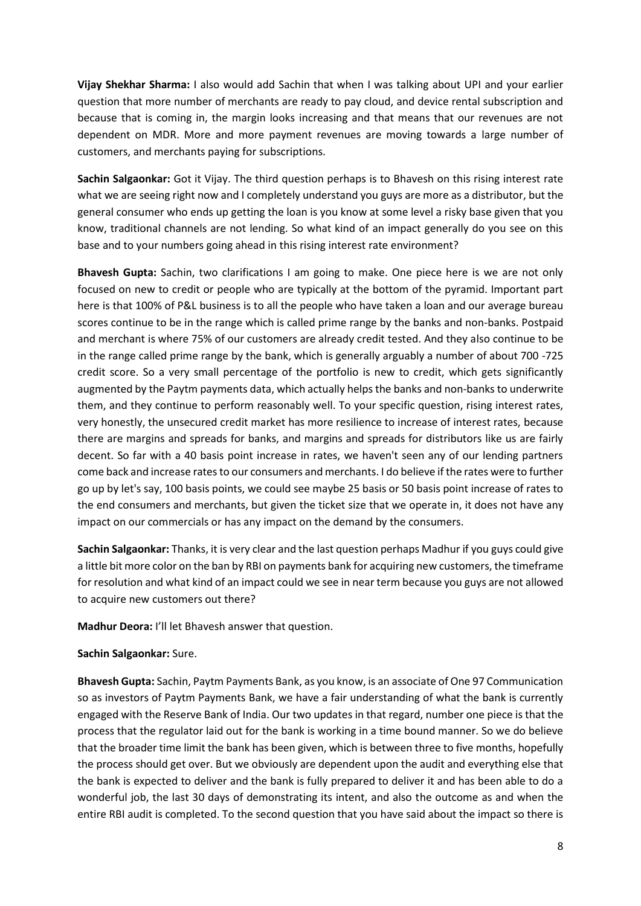**Vijay Shekhar Sharma:** I also would add Sachin that when I was talking about UPI and your earlier question that more number of merchants are ready to pay cloud, and device rental subscription and because that is coming in, the margin looks increasing and that means that our revenues are not dependent on MDR. More and more payment revenues are moving towards a large number of customers, and merchants paying for subscriptions.

**Sachin Salgaonkar:** Got it Vijay. The third question perhaps is to Bhavesh on this rising interest rate what we are seeing right now and I completely understand you guys are more as a distributor, but the general consumer who ends up getting the loan is you know at some level a risky base given that you know, traditional channels are not lending. So what kind of an impact generally do you see on this base and to your numbers going ahead in this rising interest rate environment?

**Bhavesh Gupta:** Sachin, two clarifications I am going to make. One piece here is we are not only focused on new to credit or people who are typically at the bottom of the pyramid. Important part here is that 100% of P&L business is to all the people who have taken a loan and our average bureau scores continue to be in the range which is called prime range by the banks and non-banks. Postpaid and merchant is where 75% of our customers are already credit tested. And they also continue to be in the range called prime range by the bank, which is generally arguably a number of about 700 -725 credit score. So a very small percentage of the portfolio is new to credit, which gets significantly augmented by the Paytm payments data, which actually helps the banks and non-banks to underwrite them, and they continue to perform reasonably well. To your specific question, rising interest rates, very honestly, the unsecured credit market has more resilience to increase of interest rates, because there are margins and spreads for banks, and margins and spreads for distributors like us are fairly decent. So far with a 40 basis point increase in rates, we haven't seen any of our lending partners come back and increase rates to our consumers and merchants. I do believe if the rates were to further go up by let's say, 100 basis points, we could see maybe 25 basis or 50 basis point increase of rates to the end consumers and merchants, but given the ticket size that we operate in, it does not have any impact on our commercials or has any impact on the demand by the consumers.

**Sachin Salgaonkar:** Thanks, it is very clear and the last question perhaps Madhur if you guys could give a little bit more color on the ban by RBI on payments bank for acquiring new customers, the timeframe for resolution and what kind of an impact could we see in near term because you guys are not allowed to acquire new customers out there?

**Madhur Deora:** I'll let Bhavesh answer that question.

## **Sachin Salgaonkar:** Sure.

**Bhavesh Gupta:** Sachin, Paytm Payments Bank, as you know, is an associate of One 97 Communication so as investors of Paytm Payments Bank, we have a fair understanding of what the bank is currently engaged with the Reserve Bank of India. Our two updates in that regard, number one piece is that the process that the regulator laid out for the bank is working in a time bound manner. So we do believe that the broader time limit the bank has been given, which is between three to five months, hopefully the process should get over. But we obviously are dependent upon the audit and everything else that the bank is expected to deliver and the bank is fully prepared to deliver it and has been able to do a wonderful job, the last 30 days of demonstrating its intent, and also the outcome as and when the entire RBI audit is completed. To the second question that you have said about the impact so there is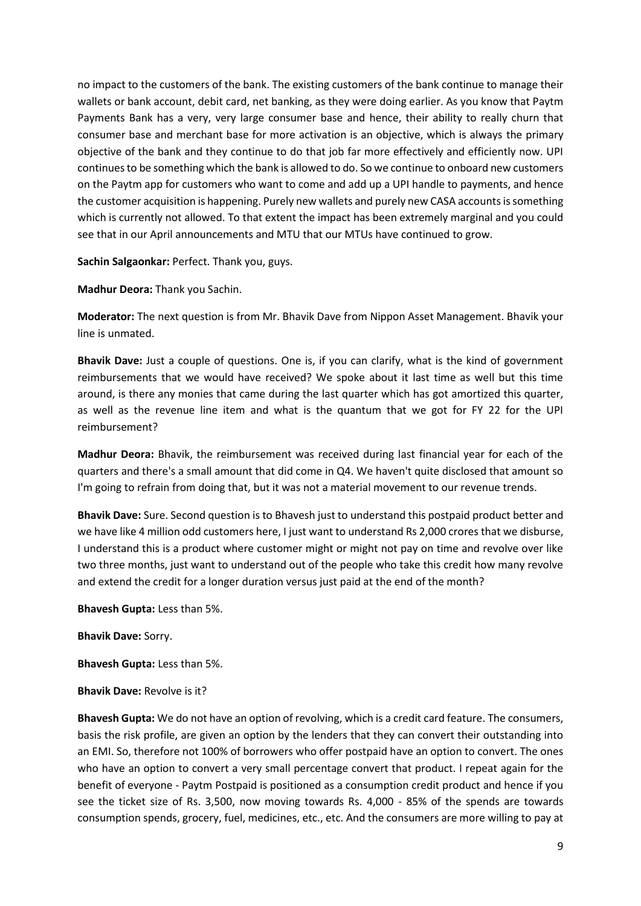no impact to the customers of the bank. The existing customers of the bank continue to manage their wallets or bank account, debit card, net banking, as they were doing earlier. As you know that Paytm Payments Bank has a very, very large consumer base and hence, their ability to really churn that consumer base and merchant base for more activation is an objective, which is always the primary objective of the bank and they continue to do that job far more effectively and efficiently now. UPI continues to be something which the bank is allowed to do. So we continue to onboard new customers on the Paytm app for customers who want to come and add up a UPI handle to payments, and hence the customer acquisition is happening. Purely new wallets and purely new CASA accounts is something which is currently not allowed. To that extent the impact has been extremely marginal and you could see that in our April announcements and MTU that our MTUs have continued to grow.

**Sachin Salgaonkar:** Perfect. Thank you, guys.

**Madhur Deora:** Thank you Sachin.

**Moderator:** The next question is from Mr. Bhavik Dave from Nippon Asset Management. Bhavik your line is unmated.

**Bhavik Dave:** Just a couple of questions. One is, if you can clarify, what is the kind of government reimbursements that we would have received? We spoke about it last time as well but this time around, is there any monies that came during the last quarter which has got amortized this quarter, as well as the revenue line item and what is the quantum that we got for FY 22 for the UPI reimbursement?

**Madhur Deora:** Bhavik, the reimbursement was received during last financial year for each of the quarters and there's a small amount that did come in Q4. We haven't quite disclosed that amount so I'm going to refrain from doing that, but it was not a material movement to our revenue trends.

**Bhavik Dave:** Sure. Second question is to Bhavesh just to understand this postpaid product better and we have like 4 million odd customers here, I just want to understand Rs 2,000 crores that we disburse, I understand this is a product where customer might or might not pay on time and revolve over like two three months, just want to understand out of the people who take this credit how many revolve and extend the credit for a longer duration versus just paid at the end of the month?

**Bhavesh Gupta:** Less than 5%.

**Bhavik Dave:** Sorry.

**Bhavesh Gupta:** Less than 5%.

**Bhavik Dave:** Revolve is it?

**Bhavesh Gupta:** We do not have an option of revolving, which is a credit card feature. The consumers, basis the risk profile, are given an option by the lenders that they can convert their outstanding into an EMI. So, therefore not 100% of borrowers who offer postpaid have an option to convert. The ones who have an option to convert a very small percentage convert that product. I repeat again for the benefit of everyone - Paytm Postpaid is positioned as a consumption credit product and hence if you see the ticket size of Rs. 3,500, now moving towards Rs. 4,000 - 85% of the spends are towards consumption spends, grocery, fuel, medicines, etc., etc. And the consumers are more willing to pay at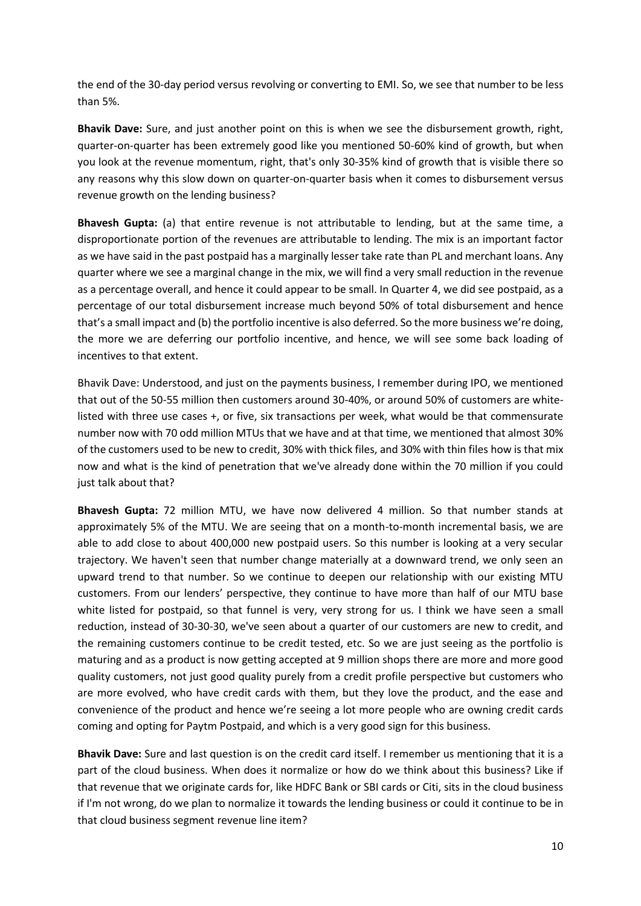the end of the 30-day period versus revolving or converting to EMI. So, we see that number to be less than 5%.

**Bhavik Dave:** Sure, and just another point on this is when we see the disbursement growth, right, quarter-on-quarter has been extremely good like you mentioned 50-60% kind of growth, but when you look at the revenue momentum, right, that's only 30-35% kind of growth that is visible there so any reasons why this slow down on quarter-on-quarter basis when it comes to disbursement versus revenue growth on the lending business?

**Bhavesh Gupta:** (a) that entire revenue is not attributable to lending, but at the same time, a disproportionate portion of the revenues are attributable to lending. The mix is an important factor as we have said in the past postpaid has a marginally lesser take rate than PL and merchant loans. Any quarter where we see a marginal change in the mix, we will find a very small reduction in the revenue as a percentage overall, and hence it could appear to be small. In Quarter 4, we did see postpaid, as a percentage of our total disbursement increase much beyond 50% of total disbursement and hence that's a small impact and (b) the portfolio incentive is also deferred. So the more business we're doing, the more we are deferring our portfolio incentive, and hence, we will see some back loading of incentives to that extent.

Bhavik Dave: Understood, and just on the payments business, I remember during IPO, we mentioned that out of the 50-55 million then customers around 30-40%, or around 50% of customers are whitelisted with three use cases +, or five, six transactions per week, what would be that commensurate number now with 70 odd million MTUs that we have and at that time, we mentioned that almost 30% of the customers used to be new to credit, 30% with thick files, and 30% with thin files how is that mix now and what is the kind of penetration that we've already done within the 70 million if you could just talk about that?

**Bhavesh Gupta:** 72 million MTU, we have now delivered 4 million. So that number stands at approximately 5% of the MTU. We are seeing that on a month-to-month incremental basis, we are able to add close to about 400,000 new postpaid users. So this number is looking at a very secular trajectory. We haven't seen that number change materially at a downward trend, we only seen an upward trend to that number. So we continue to deepen our relationship with our existing MTU customers. From our lenders' perspective, they continue to have more than half of our MTU base white listed for postpaid, so that funnel is very, very strong for us. I think we have seen a small reduction, instead of 30-30-30, we've seen about a quarter of our customers are new to credit, and the remaining customers continue to be credit tested, etc. So we are just seeing as the portfolio is maturing and as a product is now getting accepted at 9 million shops there are more and more good quality customers, not just good quality purely from a credit profile perspective but customers who are more evolved, who have credit cards with them, but they love the product, and the ease and convenience of the product and hence we're seeing a lot more people who are owning credit cards coming and opting for Paytm Postpaid, and which is a very good sign for this business.

**Bhavik Dave:** Sure and last question is on the credit card itself. I remember us mentioning that it is a part of the cloud business. When does it normalize or how do we think about this business? Like if that revenue that we originate cards for, like HDFC Bank or SBI cards or Citi, sits in the cloud business if I'm not wrong, do we plan to normalize it towards the lending business or could it continue to be in that cloud business segment revenue line item?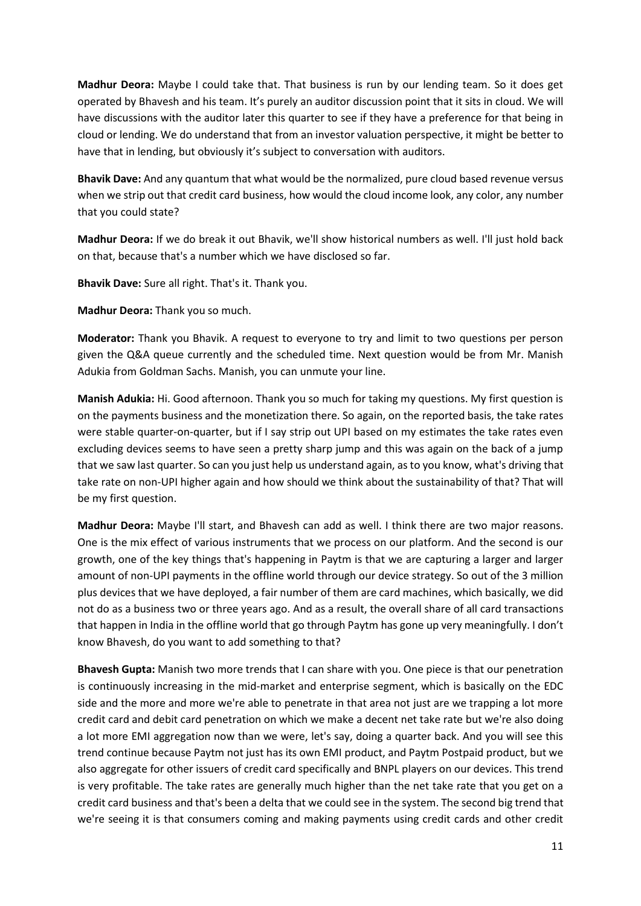**Madhur Deora:** Maybe I could take that. That business is run by our lending team. So it does get operated by Bhavesh and his team. It's purely an auditor discussion point that it sits in cloud. We will have discussions with the auditor later this quarter to see if they have a preference for that being in cloud or lending. We do understand that from an investor valuation perspective, it might be better to have that in lending, but obviously it's subject to conversation with auditors.

**Bhavik Dave:** And any quantum that what would be the normalized, pure cloud based revenue versus when we strip out that credit card business, how would the cloud income look, any color, any number that you could state?

**Madhur Deora:** If we do break it out Bhavik, we'll show historical numbers as well. I'll just hold back on that, because that's a number which we have disclosed so far.

**Bhavik Dave:** Sure all right. That's it. Thank you.

**Madhur Deora:** Thank you so much.

**Moderator:** Thank you Bhavik. A request to everyone to try and limit to two questions per person given the Q&A queue currently and the scheduled time. Next question would be from Mr. Manish Adukia from Goldman Sachs. Manish, you can unmute your line.

**Manish Adukia:** Hi. Good afternoon. Thank you so much for taking my questions. My first question is on the payments business and the monetization there. So again, on the reported basis, the take rates were stable quarter-on-quarter, but if I say strip out UPI based on my estimates the take rates even excluding devices seems to have seen a pretty sharp jump and this was again on the back of a jump that we saw last quarter. So can you just help us understand again, as to you know, what's driving that take rate on non-UPI higher again and how should we think about the sustainability of that? That will be my first question.

**Madhur Deora:** Maybe I'll start, and Bhavesh can add as well. I think there are two major reasons. One is the mix effect of various instruments that we process on our platform. And the second is our growth, one of the key things that's happening in Paytm is that we are capturing a larger and larger amount of non-UPI payments in the offline world through our device strategy. So out of the 3 million plus devices that we have deployed, a fair number of them are card machines, which basically, we did not do as a business two or three years ago. And as a result, the overall share of all card transactions that happen in India in the offline world that go through Paytm has gone up very meaningfully. I don't know Bhavesh, do you want to add something to that?

**Bhavesh Gupta:** Manish two more trends that I can share with you. One piece is that our penetration is continuously increasing in the mid-market and enterprise segment, which is basically on the EDC side and the more and more we're able to penetrate in that area not just are we trapping a lot more credit card and debit card penetration on which we make a decent net take rate but we're also doing a lot more EMI aggregation now than we were, let's say, doing a quarter back. And you will see this trend continue because Paytm not just has its own EMI product, and Paytm Postpaid product, but we also aggregate for other issuers of credit card specifically and BNPL players on our devices. This trend is very profitable. The take rates are generally much higher than the net take rate that you get on a credit card business and that's been a delta that we could see in the system. The second big trend that we're seeing it is that consumers coming and making payments using credit cards and other credit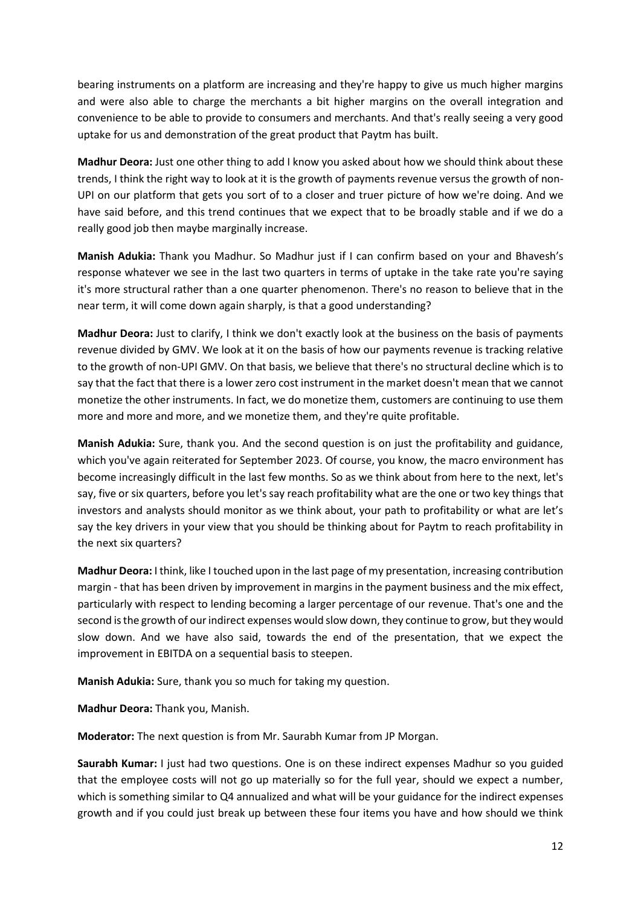bearing instruments on a platform are increasing and they're happy to give us much higher margins and were also able to charge the merchants a bit higher margins on the overall integration and convenience to be able to provide to consumers and merchants. And that's really seeing a very good uptake for us and demonstration of the great product that Paytm has built.

**Madhur Deora:** Just one other thing to add I know you asked about how we should think about these trends, I think the right way to look at it is the growth of payments revenue versus the growth of non-UPI on our platform that gets you sort of to a closer and truer picture of how we're doing. And we have said before, and this trend continues that we expect that to be broadly stable and if we do a really good job then maybe marginally increase.

**Manish Adukia:** Thank you Madhur. So Madhur just if I can confirm based on your and Bhavesh's response whatever we see in the last two quarters in terms of uptake in the take rate you're saying it's more structural rather than a one quarter phenomenon. There's no reason to believe that in the near term, it will come down again sharply, is that a good understanding?

**Madhur Deora:** Just to clarify, I think we don't exactly look at the business on the basis of payments revenue divided by GMV. We look at it on the basis of how our payments revenue is tracking relative to the growth of non-UPI GMV. On that basis, we believe that there's no structural decline which is to say that the fact that there is a lower zero cost instrument in the market doesn't mean that we cannot monetize the other instruments. In fact, we do monetize them, customers are continuing to use them more and more and more, and we monetize them, and they're quite profitable.

**Manish Adukia:** Sure, thank you. And the second question is on just the profitability and guidance, which you've again reiterated for September 2023. Of course, you know, the macro environment has become increasingly difficult in the last few months. So as we think about from here to the next, let's say, five or six quarters, before you let's say reach profitability what are the one or two key things that investors and analysts should monitor as we think about, your path to profitability or what are let's say the key drivers in your view that you should be thinking about for Paytm to reach profitability in the next six quarters?

**Madhur Deora:** I think, like I touched upon in the last page of my presentation, increasing contribution margin - that has been driven by improvement in margins in the payment business and the mix effect, particularly with respect to lending becoming a larger percentage of our revenue. That's one and the second is the growth of our indirect expenses would slow down, they continue to grow, but they would slow down. And we have also said, towards the end of the presentation, that we expect the improvement in EBITDA on a sequential basis to steepen.

**Manish Adukia:** Sure, thank you so much for taking my question.

**Madhur Deora:** Thank you, Manish.

**Moderator:** The next question is from Mr. Saurabh Kumar from JP Morgan.

**Saurabh Kumar:** I just had two questions. One is on these indirect expenses Madhur so you guided that the employee costs will not go up materially so for the full year, should we expect a number, which is something similar to Q4 annualized and what will be your guidance for the indirect expenses growth and if you could just break up between these four items you have and how should we think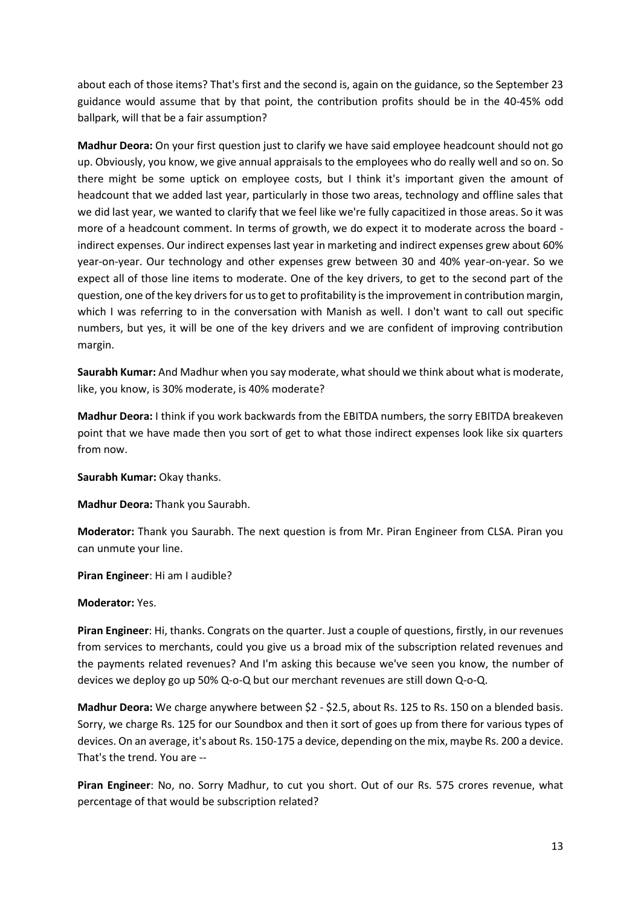about each of those items? That's first and the second is, again on the guidance, so the September 23 guidance would assume that by that point, the contribution profits should be in the 40-45% odd ballpark, will that be a fair assumption?

**Madhur Deora:** On your first question just to clarify we have said employee headcount should not go up. Obviously, you know, we give annual appraisals to the employees who do really well and so on. So there might be some uptick on employee costs, but I think it's important given the amount of headcount that we added last year, particularly in those two areas, technology and offline sales that we did last year, we wanted to clarify that we feel like we're fully capacitized in those areas. So it was more of a headcount comment. In terms of growth, we do expect it to moderate across the board indirect expenses. Our indirect expenses last year in marketing and indirect expenses grew about 60% year-on-year. Our technology and other expenses grew between 30 and 40% year-on-year. So we expect all of those line items to moderate. One of the key drivers, to get to the second part of the question, one of the key drivers for us to get to profitability is the improvement in contribution margin, which I was referring to in the conversation with Manish as well. I don't want to call out specific numbers, but yes, it will be one of the key drivers and we are confident of improving contribution margin.

**Saurabh Kumar:** And Madhur when you say moderate, what should we think about what is moderate, like, you know, is 30% moderate, is 40% moderate?

**Madhur Deora:** I think if you work backwards from the EBITDA numbers, the sorry EBITDA breakeven point that we have made then you sort of get to what those indirect expenses look like six quarters from now.

**Saurabh Kumar:** Okay thanks.

**Madhur Deora:** Thank you Saurabh.

**Moderator:** Thank you Saurabh. The next question is from Mr. Piran Engineer from CLSA. Piran you can unmute your line.

**Piran Engineer**: Hi am I audible?

## **Moderator:** Yes.

**Piran Engineer**: Hi, thanks. Congrats on the quarter. Just a couple of questions, firstly, in our revenues from services to merchants, could you give us a broad mix of the subscription related revenues and the payments related revenues? And I'm asking this because we've seen you know, the number of devices we deploy go up 50% Q-o-Q but our merchant revenues are still down Q-o-Q.

**Madhur Deora:** We charge anywhere between \$2 - \$2.5, about Rs. 125 to Rs. 150 on a blended basis. Sorry, we charge Rs. 125 for our Soundbox and then it sort of goes up from there for various types of devices. On an average, it's about Rs. 150-175 a device, depending on the mix, maybe Rs. 200 a device. That's the trend. You are --

**Piran Engineer**: No, no. Sorry Madhur, to cut you short. Out of our Rs. 575 crores revenue, what percentage of that would be subscription related?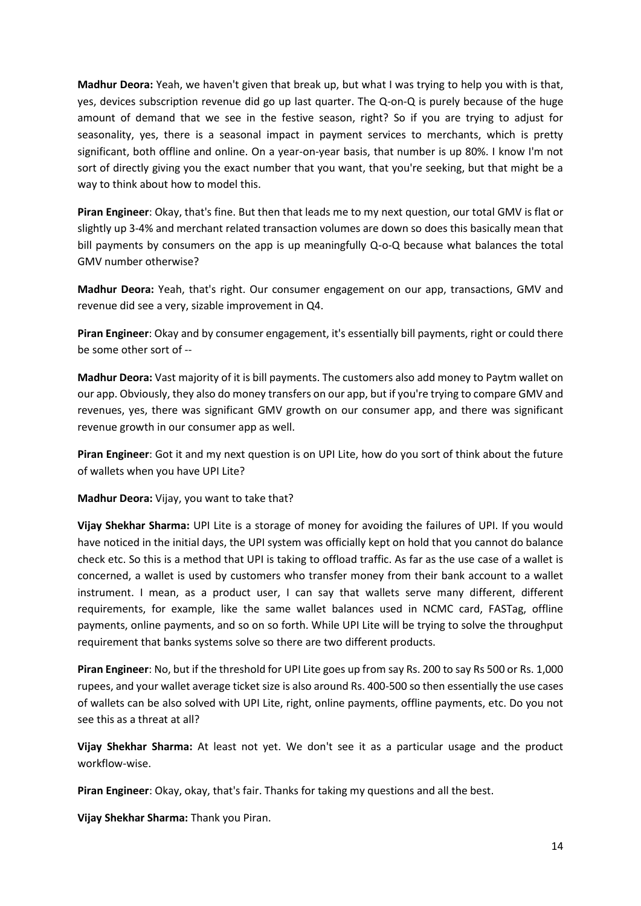**Madhur Deora:** Yeah, we haven't given that break up, but what I was trying to help you with is that, yes, devices subscription revenue did go up last quarter. The Q-on-Q is purely because of the huge amount of demand that we see in the festive season, right? So if you are trying to adjust for seasonality, yes, there is a seasonal impact in payment services to merchants, which is pretty significant, both offline and online. On a year-on-year basis, that number is up 80%. I know I'm not sort of directly giving you the exact number that you want, that you're seeking, but that might be a way to think about how to model this.

**Piran Engineer**: Okay, that's fine. But then that leads me to my next question, our total GMV is flat or slightly up 3-4% and merchant related transaction volumes are down so does this basically mean that bill payments by consumers on the app is up meaningfully Q-o-Q because what balances the total GMV number otherwise?

**Madhur Deora:** Yeah, that's right. Our consumer engagement on our app, transactions, GMV and revenue did see a very, sizable improvement in Q4.

**Piran Engineer**: Okay and by consumer engagement, it's essentially bill payments, right or could there be some other sort of --

**Madhur Deora:** Vast majority of it is bill payments. The customers also add money to Paytm wallet on our app. Obviously, they also do money transfers on our app, but if you're trying to compare GMV and revenues, yes, there was significant GMV growth on our consumer app, and there was significant revenue growth in our consumer app as well.

**Piran Engineer**: Got it and my next question is on UPI Lite, how do you sort of think about the future of wallets when you have UPI Lite?

**Madhur Deora:** Vijay, you want to take that?

**Vijay Shekhar Sharma:** UPI Lite is a storage of money for avoiding the failures of UPI. If you would have noticed in the initial days, the UPI system was officially kept on hold that you cannot do balance check etc. So this is a method that UPI is taking to offload traffic. As far as the use case of a wallet is concerned, a wallet is used by customers who transfer money from their bank account to a wallet instrument. I mean, as a product user, I can say that wallets serve many different, different requirements, for example, like the same wallet balances used in NCMC card, FASTag, offline payments, online payments, and so on so forth. While UPI Lite will be trying to solve the throughput requirement that banks systems solve so there are two different products.

**Piran Engineer**: No, but if the threshold for UPI Lite goes up from say Rs. 200 to say Rs 500 or Rs. 1,000 rupees, and your wallet average ticket size is also around Rs. 400-500 so then essentially the use cases of wallets can be also solved with UPI Lite, right, online payments, offline payments, etc. Do you not see this as a threat at all?

**Vijay Shekhar Sharma:** At least not yet. We don't see it as a particular usage and the product workflow-wise.

**Piran Engineer**: Okay, okay, that's fair. Thanks for taking my questions and all the best.

**Vijay Shekhar Sharma:** Thank you Piran.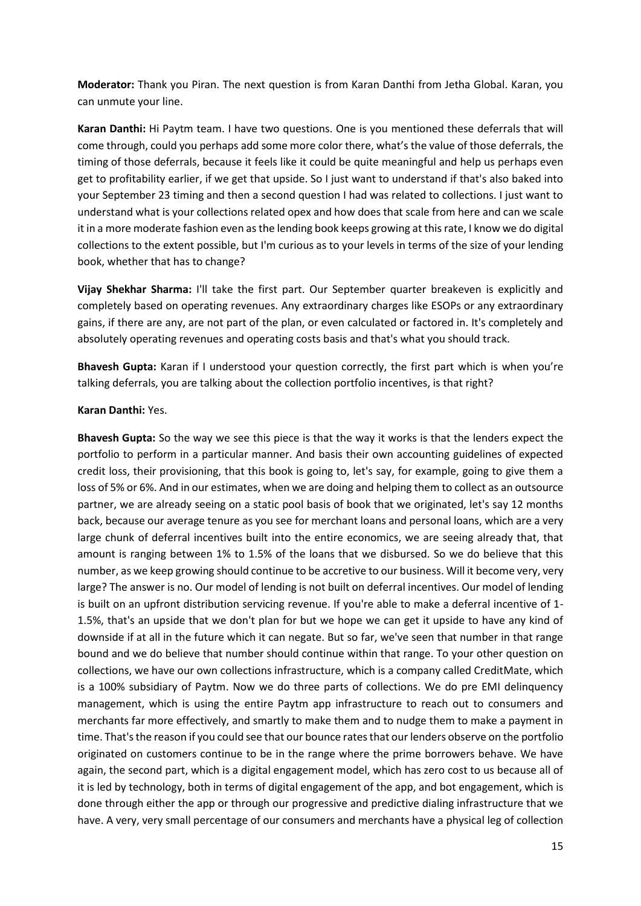**Moderator:** Thank you Piran. The next question is from Karan Danthi from Jetha Global. Karan, you can unmute your line.

**Karan Danthi:** Hi Paytm team. I have two questions. One is you mentioned these deferrals that will come through, could you perhaps add some more color there, what's the value of those deferrals, the timing of those deferrals, because it feels like it could be quite meaningful and help us perhaps even get to profitability earlier, if we get that upside. So I just want to understand if that's also baked into your September 23 timing and then a second question I had was related to collections. I just want to understand what is your collections related opex and how does that scale from here and can we scale it in a more moderate fashion even as the lending book keeps growing at this rate, I know we do digital collections to the extent possible, but I'm curious as to your levels in terms of the size of your lending book, whether that has to change?

**Vijay Shekhar Sharma:** I'll take the first part. Our September quarter breakeven is explicitly and completely based on operating revenues. Any extraordinary charges like ESOPs or any extraordinary gains, if there are any, are not part of the plan, or even calculated or factored in. It's completely and absolutely operating revenues and operating costs basis and that's what you should track.

**Bhavesh Gupta:** Karan if I understood your question correctly, the first part which is when you're talking deferrals, you are talking about the collection portfolio incentives, is that right?

### **Karan Danthi:** Yes.

**Bhavesh Gupta:** So the way we see this piece is that the way it works is that the lenders expect the portfolio to perform in a particular manner. And basis their own accounting guidelines of expected credit loss, their provisioning, that this book is going to, let's say, for example, going to give them a loss of 5% or 6%. And in our estimates, when we are doing and helping them to collect as an outsource partner, we are already seeing on a static pool basis of book that we originated, let's say 12 months back, because our average tenure as you see for merchant loans and personal loans, which are a very large chunk of deferral incentives built into the entire economics, we are seeing already that, that amount is ranging between 1% to 1.5% of the loans that we disbursed. So we do believe that this number, as we keep growing should continue to be accretive to our business. Will it become very, very large? The answer is no. Our model of lending is not built on deferral incentives. Our model of lending is built on an upfront distribution servicing revenue. If you're able to make a deferral incentive of 1- 1.5%, that's an upside that we don't plan for but we hope we can get it upside to have any kind of downside if at all in the future which it can negate. But so far, we've seen that number in that range bound and we do believe that number should continue within that range. To your other question on collections, we have our own collections infrastructure, which is a company called CreditMate, which is a 100% subsidiary of Paytm. Now we do three parts of collections. We do pre EMI delinquency management, which is using the entire Paytm app infrastructure to reach out to consumers and merchants far more effectively, and smartly to make them and to nudge them to make a payment in time. That's the reason if you could see that our bounce rates that our lenders observe on the portfolio originated on customers continue to be in the range where the prime borrowers behave. We have again, the second part, which is a digital engagement model, which has zero cost to us because all of it is led by technology, both in terms of digital engagement of the app, and bot engagement, which is done through either the app or through our progressive and predictive dialing infrastructure that we have. A very, very small percentage of our consumers and merchants have a physical leg of collection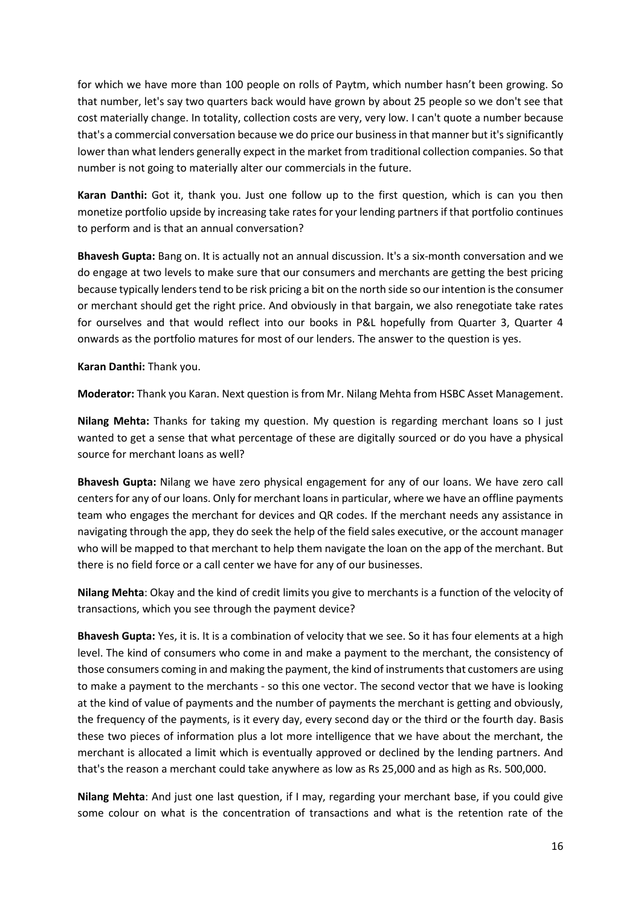for which we have more than 100 people on rolls of Paytm, which number hasn't been growing. So that number, let's say two quarters back would have grown by about 25 people so we don't see that cost materially change. In totality, collection costs are very, very low. I can't quote a number because that's a commercial conversation because we do price our business in that manner but it's significantly lower than what lenders generally expect in the market from traditional collection companies. So that number is not going to materially alter our commercials in the future.

**Karan Danthi:** Got it, thank you. Just one follow up to the first question, which is can you then monetize portfolio upside by increasing take rates for your lending partners if that portfolio continues to perform and is that an annual conversation?

**Bhavesh Gupta:** Bang on. It is actually not an annual discussion. It's a six-month conversation and we do engage at two levels to make sure that our consumers and merchants are getting the best pricing because typically lenders tend to be risk pricing a bit on the north side so our intention is the consumer or merchant should get the right price. And obviously in that bargain, we also renegotiate take rates for ourselves and that would reflect into our books in P&L hopefully from Quarter 3, Quarter 4 onwards as the portfolio matures for most of our lenders. The answer to the question is yes.

**Karan Danthi:** Thank you.

**Moderator:** Thank you Karan. Next question is from Mr. Nilang Mehta from HSBC Asset Management.

**Nilang Mehta:** Thanks for taking my question. My question is regarding merchant loans so I just wanted to get a sense that what percentage of these are digitally sourced or do you have a physical source for merchant loans as well?

**Bhavesh Gupta:** Nilang we have zero physical engagement for any of our loans. We have zero call centers for any of our loans. Only for merchant loans in particular, where we have an offline payments team who engages the merchant for devices and QR codes. If the merchant needs any assistance in navigating through the app, they do seek the help of the field sales executive, or the account manager who will be mapped to that merchant to help them navigate the loan on the app of the merchant. But there is no field force or a call center we have for any of our businesses.

**Nilang Mehta**: Okay and the kind of credit limits you give to merchants is a function of the velocity of transactions, which you see through the payment device?

**Bhavesh Gupta:** Yes, it is. It is a combination of velocity that we see. So it has four elements at a high level. The kind of consumers who come in and make a payment to the merchant, the consistency of those consumers coming in and making the payment, the kind of instruments that customers are using to make a payment to the merchants - so this one vector. The second vector that we have is looking at the kind of value of payments and the number of payments the merchant is getting and obviously, the frequency of the payments, is it every day, every second day or the third or the fourth day. Basis these two pieces of information plus a lot more intelligence that we have about the merchant, the merchant is allocated a limit which is eventually approved or declined by the lending partners. And that's the reason a merchant could take anywhere as low as Rs 25,000 and as high as Rs. 500,000.

**Nilang Mehta**: And just one last question, if I may, regarding your merchant base, if you could give some colour on what is the concentration of transactions and what is the retention rate of the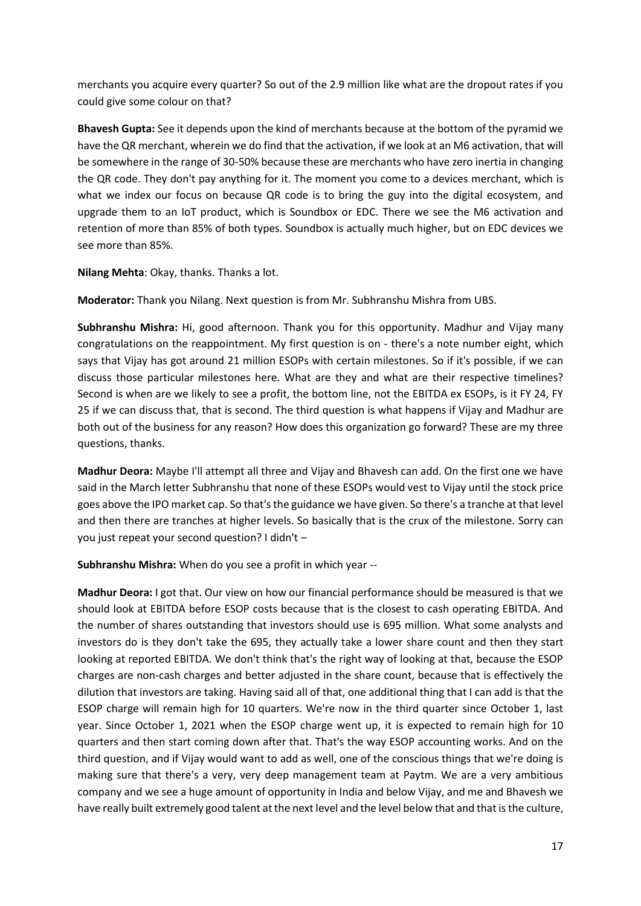merchants you acquire every quarter? So out of the 2.9 million like what are the dropout rates if you could give some colour on that?

**Bhavesh Gupta:** See it depends upon the kind of merchants because at the bottom of the pyramid we have the QR merchant, wherein we do find that the activation, if we look at an M6 activation, that will be somewhere in the range of 30-50% because these are merchants who have zero inertia in changing the QR code. They don't pay anything for it. The moment you come to a devices merchant, which is what we index our focus on because QR code is to bring the guy into the digital ecosystem, and upgrade them to an IoT product, which is Soundbox or EDC. There we see the M6 activation and retention of more than 85% of both types. Soundbox is actually much higher, but on EDC devices we see more than 85%.

**Nilang Mehta**: Okay, thanks. Thanks a lot.

**Moderator:** Thank you Nilang. Next question is from Mr. Subhranshu Mishra from UBS.

**Subhranshu Mishra:** Hi, good afternoon. Thank you for this opportunity. Madhur and Vijay many congratulations on the reappointment. My first question is on - there's a note number eight, which says that Vijay has got around 21 million ESOPs with certain milestones. So if it's possible, if we can discuss those particular milestones here. What are they and what are their respective timelines? Second is when are we likely to see a profit, the bottom line, not the EBITDA ex ESOPs, is it FY 24, FY 25 if we can discuss that, that is second. The third question is what happens if Vijay and Madhur are both out of the business for any reason? How does this organization go forward? These are my three questions, thanks.

**Madhur Deora:** Maybe I'll attempt all three and Vijay and Bhavesh can add. On the first one we have said in the March letter Subhranshu that none of these ESOPs would vest to Vijay until the stock price goes above the IPO market cap. So that's the guidance we have given. So there's a tranche at that level and then there are tranches at higher levels. So basically that is the crux of the milestone. Sorry can you just repeat your second question? I didn't –

**Subhranshu Mishra:** When do you see a profit in which year --

**Madhur Deora:** I got that. Our view on how our financial performance should be measured is that we should look at EBITDA before ESOP costs because that is the closest to cash operating EBITDA. And the number of shares outstanding that investors should use is 695 million. What some analysts and investors do is they don't take the 695, they actually take a lower share count and then they start looking at reported EBITDA. We don't think that's the right way of looking at that, because the ESOP charges are non-cash charges and better adjusted in the share count, because that is effectively the dilution that investors are taking. Having said all of that, one additional thing that I can add is that the ESOP charge will remain high for 10 quarters. We're now in the third quarter since October 1, last year. Since October 1, 2021 when the ESOP charge went up, it is expected to remain high for 10 quarters and then start coming down after that. That's the way ESOP accounting works. And on the third question, and if Vijay would want to add as well, one of the conscious things that we're doing is making sure that there's a very, very deep management team at Paytm. We are a very ambitious company and we see a huge amount of opportunity in India and below Vijay, and me and Bhavesh we have really built extremely good talent at the next level and the level below that and that is the culture,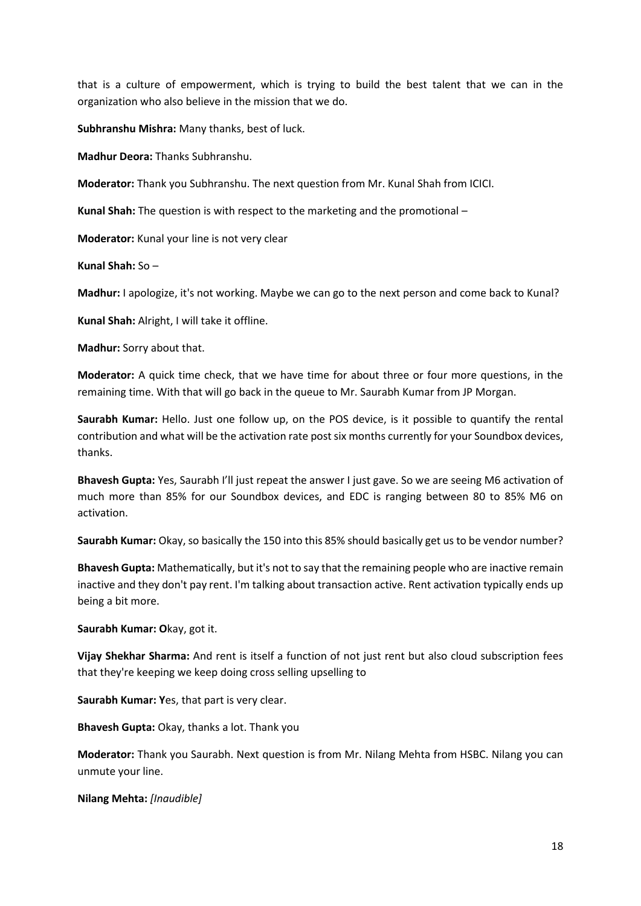that is a culture of empowerment, which is trying to build the best talent that we can in the organization who also believe in the mission that we do.

**Subhranshu Mishra:** Many thanks, best of luck.

**Madhur Deora:** Thanks Subhranshu.

**Moderator:** Thank you Subhranshu. The next question from Mr. Kunal Shah from ICICI.

**Kunal Shah:** The question is with respect to the marketing and the promotional –

**Moderator:** Kunal your line is not very clear

**Kunal Shah:** So –

**Madhur:** I apologize, it's not working. Maybe we can go to the next person and come back to Kunal?

**Kunal Shah:** Alright, I will take it offline.

**Madhur:** Sorry about that.

**Moderator:** A quick time check, that we have time for about three or four more questions, in the remaining time. With that will go back in the queue to Mr. Saurabh Kumar from JP Morgan.

**Saurabh Kumar:** Hello. Just one follow up, on the POS device, is it possible to quantify the rental contribution and what will be the activation rate post six months currently for your Soundbox devices, thanks.

**Bhavesh Gupta:** Yes, Saurabh I'll just repeat the answer I just gave. So we are seeing M6 activation of much more than 85% for our Soundbox devices, and EDC is ranging between 80 to 85% M6 on activation.

**Saurabh Kumar:** Okay, so basically the 150 into this 85% should basically get us to be vendor number?

**Bhavesh Gupta:** Mathematically, but it's not to say that the remaining people who are inactive remain inactive and they don't pay rent. I'm talking about transaction active. Rent activation typically ends up being a bit more.

**Saurabh Kumar: O**kay, got it.

**Vijay Shekhar Sharma:** And rent is itself a function of not just rent but also cloud subscription fees that they're keeping we keep doing cross selling upselling to

**Saurabh Kumar: Y**es, that part is very clear.

**Bhavesh Gupta:** Okay, thanks a lot. Thank you

**Moderator:** Thank you Saurabh. Next question is from Mr. Nilang Mehta from HSBC. Nilang you can unmute your line.

**Nilang Mehta:** *[Inaudible]*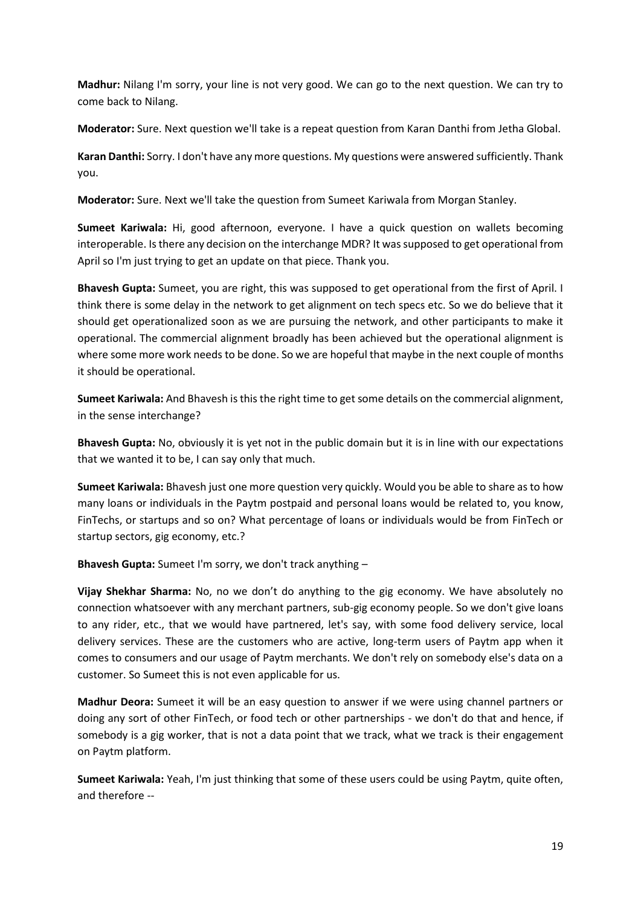**Madhur:** Nilang I'm sorry, your line is not very good. We can go to the next question. We can try to come back to Nilang.

**Moderator:** Sure. Next question we'll take is a repeat question from Karan Danthi from Jetha Global.

**Karan Danthi:** Sorry. I don't have any more questions. My questions were answered sufficiently. Thank you.

**Moderator:** Sure. Next we'll take the question from Sumeet Kariwala from Morgan Stanley.

**Sumeet Kariwala:** Hi, good afternoon, everyone. I have a quick question on wallets becoming interoperable. Is there any decision on the interchange MDR? It was supposed to get operational from April so I'm just trying to get an update on that piece. Thank you.

**Bhavesh Gupta:** Sumeet, you are right, this was supposed to get operational from the first of April. I think there is some delay in the network to get alignment on tech specs etc. So we do believe that it should get operationalized soon as we are pursuing the network, and other participants to make it operational. The commercial alignment broadly has been achieved but the operational alignment is where some more work needs to be done. So we are hopeful that maybe in the next couple of months it should be operational.

**Sumeet Kariwala:** And Bhavesh is this the right time to get some details on the commercial alignment, in the sense interchange?

**Bhavesh Gupta:** No, obviously it is yet not in the public domain but it is in line with our expectations that we wanted it to be, I can say only that much.

**Sumeet Kariwala:** Bhavesh just one more question very quickly. Would you be able to share as to how many loans or individuals in the Paytm postpaid and personal loans would be related to, you know, FinTechs, or startups and so on? What percentage of loans or individuals would be from FinTech or startup sectors, gig economy, etc.?

**Bhavesh Gupta:** Sumeet I'm sorry, we don't track anything –

**Vijay Shekhar Sharma:** No, no we don't do anything to the gig economy. We have absolutely no connection whatsoever with any merchant partners, sub-gig economy people. So we don't give loans to any rider, etc., that we would have partnered, let's say, with some food delivery service, local delivery services. These are the customers who are active, long-term users of Paytm app when it comes to consumers and our usage of Paytm merchants. We don't rely on somebody else's data on a customer. So Sumeet this is not even applicable for us.

**Madhur Deora:** Sumeet it will be an easy question to answer if we were using channel partners or doing any sort of other FinTech, or food tech or other partnerships - we don't do that and hence, if somebody is a gig worker, that is not a data point that we track, what we track is their engagement on Paytm platform.

**Sumeet Kariwala:** Yeah, I'm just thinking that some of these users could be using Paytm, quite often, and therefore --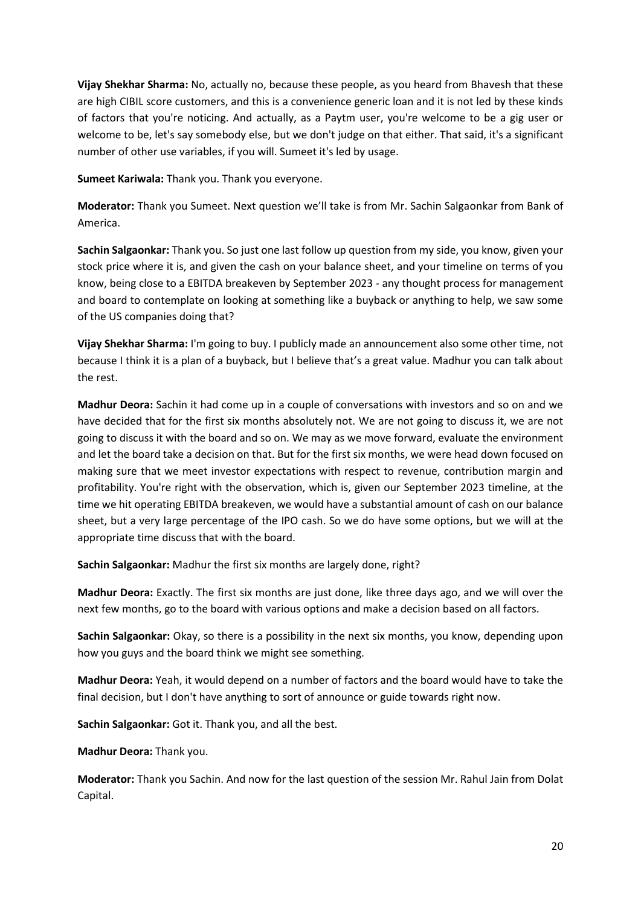**Vijay Shekhar Sharma:** No, actually no, because these people, as you heard from Bhavesh that these are high CIBIL score customers, and this is a convenience generic loan and it is not led by these kinds of factors that you're noticing. And actually, as a Paytm user, you're welcome to be a gig user or welcome to be, let's say somebody else, but we don't judge on that either. That said, it's a significant number of other use variables, if you will. Sumeet it's led by usage.

**Sumeet Kariwala:** Thank you. Thank you everyone.

**Moderator:** Thank you Sumeet. Next question we'll take is from Mr. Sachin Salgaonkar from Bank of America.

**Sachin Salgaonkar:** Thank you. So just one last follow up question from my side, you know, given your stock price where it is, and given the cash on your balance sheet, and your timeline on terms of you know, being close to a EBITDA breakeven by September 2023 - any thought process for management and board to contemplate on looking at something like a buyback or anything to help, we saw some of the US companies doing that?

**Vijay Shekhar Sharma:** I'm going to buy. I publicly made an announcement also some other time, not because I think it is a plan of a buyback, but I believe that's a great value. Madhur you can talk about the rest.

**Madhur Deora:** Sachin it had come up in a couple of conversations with investors and so on and we have decided that for the first six months absolutely not. We are not going to discuss it, we are not going to discuss it with the board and so on. We may as we move forward, evaluate the environment and let the board take a decision on that. But for the first six months, we were head down focused on making sure that we meet investor expectations with respect to revenue, contribution margin and profitability. You're right with the observation, which is, given our September 2023 timeline, at the time we hit operating EBITDA breakeven, we would have a substantial amount of cash on our balance sheet, but a very large percentage of the IPO cash. So we do have some options, but we will at the appropriate time discuss that with the board.

**Sachin Salgaonkar:** Madhur the first six months are largely done, right?

**Madhur Deora:** Exactly. The first six months are just done, like three days ago, and we will over the next few months, go to the board with various options and make a decision based on all factors.

**Sachin Salgaonkar:** Okay, so there is a possibility in the next six months, you know, depending upon how you guys and the board think we might see something.

**Madhur Deora:** Yeah, it would depend on a number of factors and the board would have to take the final decision, but I don't have anything to sort of announce or guide towards right now.

**Sachin Salgaonkar:** Got it. Thank you, and all the best.

**Madhur Deora:** Thank you.

**Moderator:** Thank you Sachin. And now for the last question of the session Mr. Rahul Jain from Dolat Capital.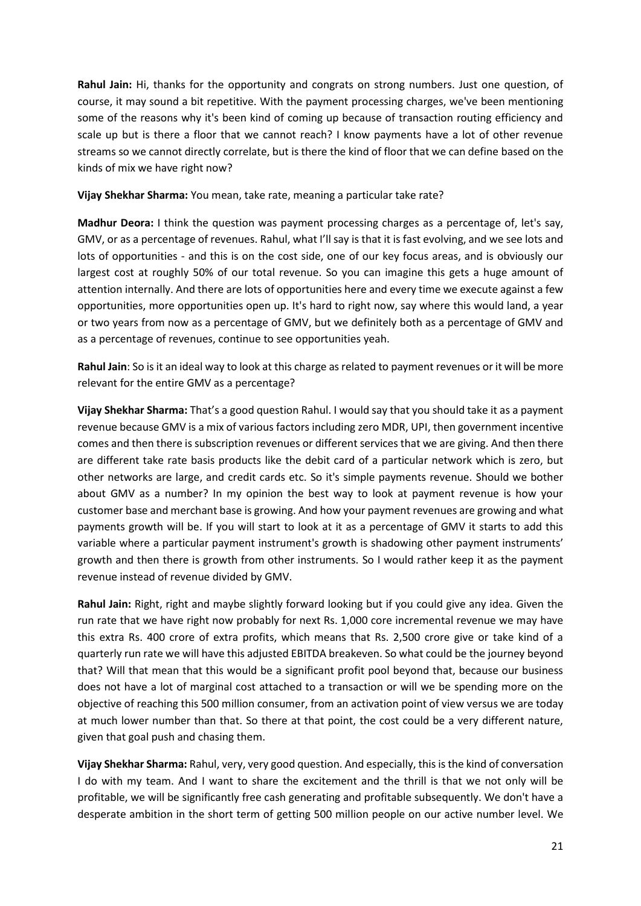**Rahul Jain:** Hi, thanks for the opportunity and congrats on strong numbers. Just one question, of course, it may sound a bit repetitive. With the payment processing charges, we've been mentioning some of the reasons why it's been kind of coming up because of transaction routing efficiency and scale up but is there a floor that we cannot reach? I know payments have a lot of other revenue streams so we cannot directly correlate, but is there the kind of floor that we can define based on the kinds of mix we have right now?

**Vijay Shekhar Sharma:** You mean, take rate, meaning a particular take rate?

**Madhur Deora:** I think the question was payment processing charges as a percentage of, let's say, GMV, or as a percentage of revenues. Rahul, what I'll say is that it is fast evolving, and we see lots and lots of opportunities - and this is on the cost side, one of our key focus areas, and is obviously our largest cost at roughly 50% of our total revenue. So you can imagine this gets a huge amount of attention internally. And there are lots of opportunities here and every time we execute against a few opportunities, more opportunities open up. It's hard to right now, say where this would land, a year or two years from now as a percentage of GMV, but we definitely both as a percentage of GMV and as a percentage of revenues, continue to see opportunities yeah.

**Rahul Jain**: So is it an ideal way to look at this charge as related to payment revenues or it will be more relevant for the entire GMV as a percentage?

**Vijay Shekhar Sharma:** That's a good question Rahul. I would say that you should take it as a payment revenue because GMV is a mix of various factors including zero MDR, UPI, then government incentive comes and then there is subscription revenues or different services that we are giving. And then there are different take rate basis products like the debit card of a particular network which is zero, but other networks are large, and credit cards etc. So it's simple payments revenue. Should we bother about GMV as a number? In my opinion the best way to look at payment revenue is how your customer base and merchant base is growing. And how your payment revenues are growing and what payments growth will be. If you will start to look at it as a percentage of GMV it starts to add this variable where a particular payment instrument's growth is shadowing other payment instruments' growth and then there is growth from other instruments. So I would rather keep it as the payment revenue instead of revenue divided by GMV.

**Rahul Jain:** Right, right and maybe slightly forward looking but if you could give any idea. Given the run rate that we have right now probably for next Rs. 1,000 core incremental revenue we may have this extra Rs. 400 crore of extra profits, which means that Rs. 2,500 crore give or take kind of a quarterly run rate we will have this adjusted EBITDA breakeven. So what could be the journey beyond that? Will that mean that this would be a significant profit pool beyond that, because our business does not have a lot of marginal cost attached to a transaction or will we be spending more on the objective of reaching this 500 million consumer, from an activation point of view versus we are today at much lower number than that. So there at that point, the cost could be a very different nature, given that goal push and chasing them.

**Vijay Shekhar Sharma:** Rahul, very, very good question. And especially, this is the kind of conversation I do with my team. And I want to share the excitement and the thrill is that we not only will be profitable, we will be significantly free cash generating and profitable subsequently. We don't have a desperate ambition in the short term of getting 500 million people on our active number level. We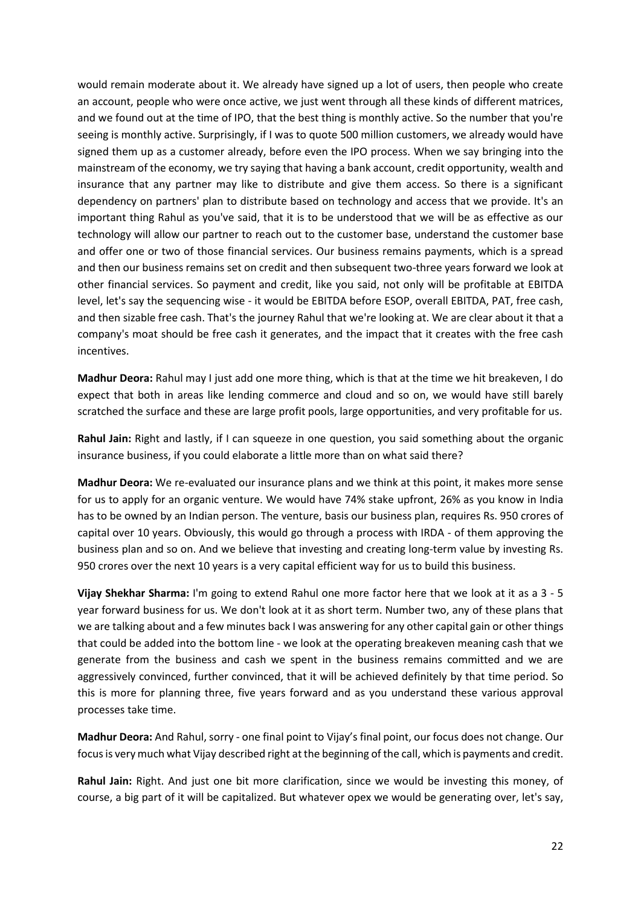would remain moderate about it. We already have signed up a lot of users, then people who create an account, people who were once active, we just went through all these kinds of different matrices, and we found out at the time of IPO, that the best thing is monthly active. So the number that you're seeing is monthly active. Surprisingly, if I was to quote 500 million customers, we already would have signed them up as a customer already, before even the IPO process. When we say bringing into the mainstream of the economy, we try saying that having a bank account, credit opportunity, wealth and insurance that any partner may like to distribute and give them access. So there is a significant dependency on partners' plan to distribute based on technology and access that we provide. It's an important thing Rahul as you've said, that it is to be understood that we will be as effective as our technology will allow our partner to reach out to the customer base, understand the customer base and offer one or two of those financial services. Our business remains payments, which is a spread and then our business remains set on credit and then subsequent two-three years forward we look at other financial services. So payment and credit, like you said, not only will be profitable at EBITDA level, let's say the sequencing wise - it would be EBITDA before ESOP, overall EBITDA, PAT, free cash, and then sizable free cash. That's the journey Rahul that we're looking at. We are clear about it that a company's moat should be free cash it generates, and the impact that it creates with the free cash incentives.

**Madhur Deora:** Rahul may I just add one more thing, which is that at the time we hit breakeven, I do expect that both in areas like lending commerce and cloud and so on, we would have still barely scratched the surface and these are large profit pools, large opportunities, and very profitable for us.

**Rahul Jain:** Right and lastly, if I can squeeze in one question, you said something about the organic insurance business, if you could elaborate a little more than on what said there?

**Madhur Deora:** We re-evaluated our insurance plans and we think at this point, it makes more sense for us to apply for an organic venture. We would have 74% stake upfront, 26% as you know in India has to be owned by an Indian person. The venture, basis our business plan, requires Rs. 950 crores of capital over 10 years. Obviously, this would go through a process with IRDA - of them approving the business plan and so on. And we believe that investing and creating long-term value by investing Rs. 950 crores over the next 10 years is a very capital efficient way for us to build this business.

**Vijay Shekhar Sharma:** I'm going to extend Rahul one more factor here that we look at it as a 3 - 5 year forward business for us. We don't look at it as short term. Number two, any of these plans that we are talking about and a few minutes back I was answering for any other capital gain or other things that could be added into the bottom line - we look at the operating breakeven meaning cash that we generate from the business and cash we spent in the business remains committed and we are aggressively convinced, further convinced, that it will be achieved definitely by that time period. So this is more for planning three, five years forward and as you understand these various approval processes take time.

**Madhur Deora:** And Rahul, sorry - one final point to Vijay's final point, our focus does not change. Our focus is very much what Vijay described right at the beginning of the call, which is payments and credit.

**Rahul Jain:** Right. And just one bit more clarification, since we would be investing this money, of course, a big part of it will be capitalized. But whatever opex we would be generating over, let's say,